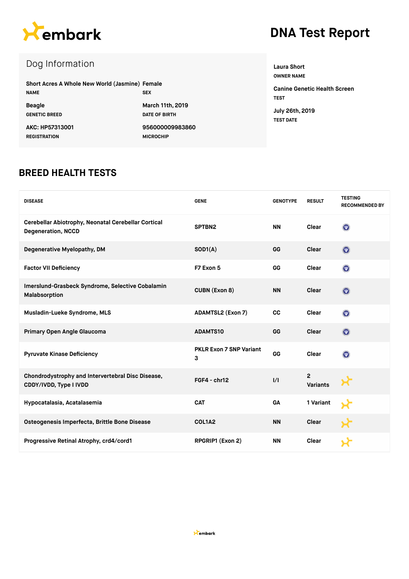

# **DNA Test Report**

# Dog Information

| Short Acres A Whole New World (Jasmine) Female<br><b>NAME</b> | <b>SEX</b>              |
|---------------------------------------------------------------|-------------------------|
| <b>Beagle</b>                                                 | <b>March 11th, 2019</b> |
| <b>GENETIC BREED</b>                                          | <b>DATE OF BIRTH</b>    |
| AKC: HP57313001                                               | 956000009983860         |
| <b>REGISTRATION</b>                                           | <b>MICROCHIP</b>        |

**Laura Short OWNER NAME Canine Genetic Health Screen**

**TEST July 26th, 2019 TEST DATE**

#### **BREED HEALTH TESTS**

| <b>DISEASE</b>                                                                   | <b>GENE</b>                         | <b>GENOTYPE</b> | <b>RESULT</b>              | <b>TESTING</b><br><b>RECOMMENDED BY</b> |
|----------------------------------------------------------------------------------|-------------------------------------|-----------------|----------------------------|-----------------------------------------|
| Cerebellar Abiotrophy, Neonatal Cerebellar Cortical<br><b>Degeneration, NCCD</b> | SPTBN2                              | <b>NN</b>       | Clear                      | $\odot$                                 |
| Degenerative Myelopathy, DM                                                      | SOD1(A)                             | GG              | Clear                      | $\mathbf{O}$                            |
| <b>Factor VII Deficiency</b>                                                     | F7 Exon 5                           | GG              | Clear                      | $\ddot{\mathbf{O}}$                     |
| Imerslund-Grasbeck Syndrome, Selective Cobalamin<br>Malabsorption                | <b>CUBN (Exon 8)</b>                | <b>NN</b>       | Clear                      | $\mathbf{O}$                            |
| Musladin-Lueke Syndrome, MLS                                                     | <b>ADAMTSL2 (Exon 7)</b>            | CC              | Clear                      | $\odot$                                 |
| Primary Open Angle Glaucoma                                                      | <b>ADAMTS10</b>                     | GG              | Clear                      | $\odot$                                 |
| <b>Pyruvate Kinase Deficiency</b>                                                | <b>PKLR Exon 7 SNP Variant</b><br>3 | GG              | Clear                      | $\left( \nabla \right)$                 |
| Chondrodystrophy and Intervertebral Disc Disease,<br>CDDY/IVDD, Type I IVDD      | FGF4 - chr12                        | $\frac{1}{1}$   | $\overline{2}$<br>Variants |                                         |
| Hypocatalasia, Acatalasemia                                                      | <b>CAT</b>                          | GA              | 1 Variant                  |                                         |
| Osteogenesis Imperfecta, Brittle Bone Disease                                    | COL1A2                              | <b>NN</b>       | Clear                      |                                         |
| Progressive Retinal Atrophy, crd4/cord1                                          | RPGRIP1 (Exon 2)                    | <b>NN</b>       | Clear                      |                                         |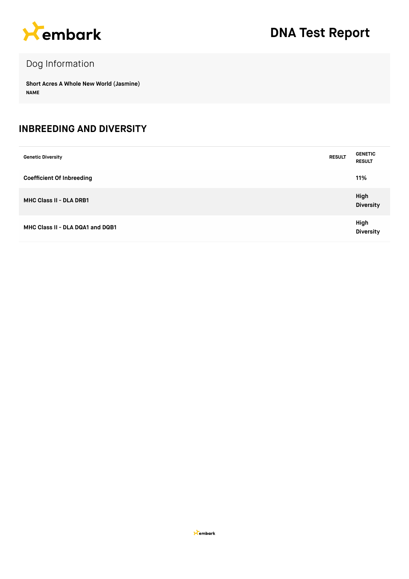

# Dog Information

**Short Acres A Whole New World (Jasmine) NAME**

#### **INBREEDING AND DIVERSITY**

| <b>Genetic Diversity</b>         | <b>RESULT</b> | <b>GENETIC</b><br><b>RESULT</b> |
|----------------------------------|---------------|---------------------------------|
| <b>Coefficient Of Inbreeding</b> |               | 11%                             |
| <b>MHC Class II - DLA DRB1</b>   |               | High<br><b>Diversity</b>        |
| MHC Class II - DLA DQA1 and DQB1 |               | High<br><b>Diversity</b>        |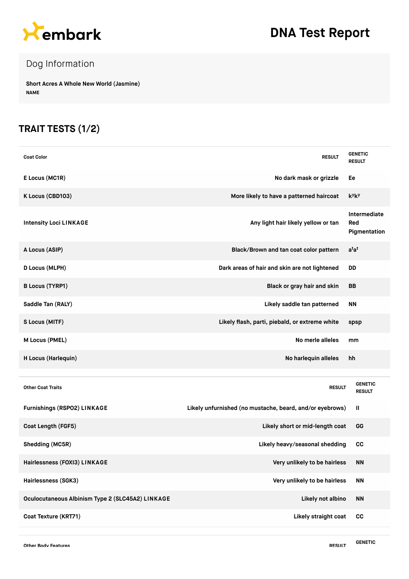

# **DNA Test Report**

# Dog Information

**Short Acres A Whole New World (Jasmine) NAME**

### **TRAIT TESTS (1/2)**

| <b>Coat Color</b>                                | <b>RESULT</b>                                            | <b>GENETIC</b><br><b>RESULT</b>      |
|--------------------------------------------------|----------------------------------------------------------|--------------------------------------|
| E Locus (MC1R)                                   | No dark mask or grizzle                                  | Ee                                   |
| K Locus (CBD103)                                 | More likely to have a patterned haircoat                 | <b>k</b> <sup>y</sup> k <sup>y</sup> |
| <b>Intensity Loci LINKAGE</b>                    | Any light hair likely yellow or tan                      | Intermediate<br>Red<br>Pigmentation  |
| A Locus (ASIP)                                   | Black/Brown and tan coat color pattern                   | $a^{t}a^{t}$                         |
| D Locus (MLPH)                                   | Dark areas of hair and skin are not lightened            | DD                                   |
| <b>B Locus (TYRP1)</b>                           | Black or gray hair and skin                              | BB                                   |
| Saddle Tan (RALY)                                | Likely saddle tan patterned                              | <b>NN</b>                            |
| S Locus (MITF)                                   | Likely flash, parti, piebald, or extreme white           | spsp                                 |
| M Locus (PMEL)                                   | No merle alleles                                         | mm                                   |
| H Locus (Harlequin)                              | No harlequin alleles                                     | hh                                   |
|                                                  |                                                          |                                      |
| <b>Other Coat Traits</b>                         | <b>RESULT</b>                                            | <b>GENETIC</b><br><b>RESULT</b>      |
| <b>Furnishings (RSPO2) LINKAGE</b>               | Likely unfurnished (no mustache, beard, and/or eyebrows) | Ш                                    |
| Coat Length (FGF5)                               | Likely short or mid-length coat                          | GG                                   |
| Shedding (MC5R)                                  | Likely heavy/seasonal shedding                           | <b>CC</b>                            |
| Hairlessness (FOXI3) LINKAGE                     | Very unlikely to be hairless                             | <b>NN</b>                            |
| Hairlessness (SGK3)                              | Very unlikely to be hairless                             | <b>NN</b>                            |
| Oculocutaneous Albinism Type 2 (SLC45A2) LINKAGE | Likely not albino                                        | <b>NN</b>                            |
| Coat Texture (KRT71)                             | Likely straight coat                                     | cc                                   |